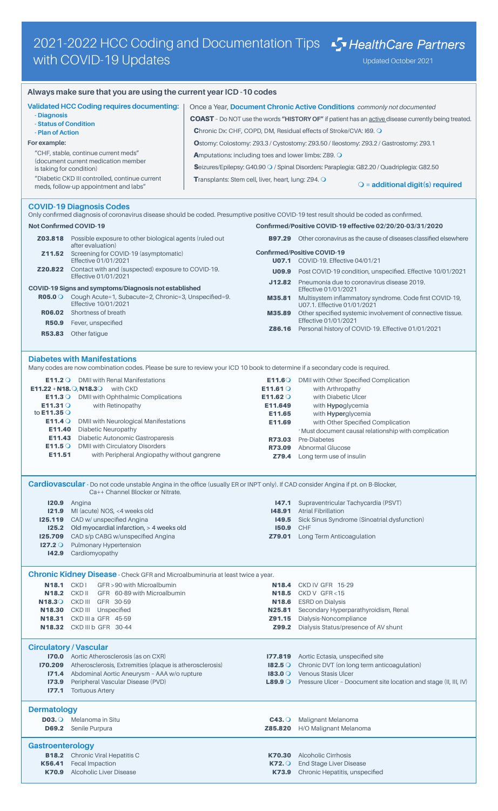## **Always make sure that you are using the current year ICD -10 codes**

| <b>Validated HCC Coding requires documenting:</b>                                       | Once a Year, Document Chronic Active Conditions commonly not documented                                    |  |  |
|-----------------------------------------------------------------------------------------|------------------------------------------------------------------------------------------------------------|--|--|
| - Diagnosis<br>- Status of Condition                                                    | <b>COAST</b> - Do NOT use the words "HISTORY OF" if patient has an active disease currently being treated. |  |  |
| - Plan of Action                                                                        | Chronic Dx: CHF, COPD, DM, Residual effects of Stroke/CVA: 169. O                                          |  |  |
| For example:                                                                            | Ostomy: Colostomy: Z93.3 / Cystostomy: Z93.50 / Ileostomy: Z93.2 / Gastrostomy: Z93.1                      |  |  |
| "CHF, stable, continue current meds"<br>(document current medication member             | <b>A</b> mputations: including toes and lower limbs: Z89. O                                                |  |  |
| is taking for condition)                                                                | Seizures/Epilepsy: G40.90 O / Spinal Disorders: Paraplegia: G82.20 / Quadriplegia: G82.50                  |  |  |
| "Diabetic CKD III controlled, continue current<br>meds, follow-up appointment and labs" | <b>Transplants: Stem cell, liver, heart, lung: Z94. O</b><br>$\bigcirc$ = additional digit(s) required     |  |  |

## **COVID-19 Diagnosis Codes**

|                                                                                       | Only confirmed diagnosis of coronavirus disease should be coded. Presumptive positive COVID-19 test result should be coded as confirmed. |                                                            |                                                                                        |
|---------------------------------------------------------------------------------------|------------------------------------------------------------------------------------------------------------------------------------------|------------------------------------------------------------|----------------------------------------------------------------------------------------|
| <b>Not Confirmed COVID-19</b>                                                         |                                                                                                                                          |                                                            | Confirmed/Positive COVID-19 effective 02/20/20-03/31/2020                              |
| Z03.818                                                                               | Possible exposure to other biological agents (ruled out<br>after evaluation)                                                             | B97.29                                                     | Other coronavirus as the cause of diseases classified elsewhere                        |
| Screening for COVID-19 (asymptomatic)<br>Z11.52                                       |                                                                                                                                          |                                                            | <b>Confirmed/Positive COVID-19</b>                                                     |
| Effective 01/01/2021                                                                  |                                                                                                                                          |                                                            | <b>U07.1</b> COVID-19. Effective 04/01/21                                              |
| Contact with and (suspected) exposure to COVID-19.<br>Z20.822<br>Effective 01/01/2021 | U09.9                                                                                                                                    | Post COVID-19 condition, unspecified. Effective 10/01/2021 |                                                                                        |
| COVID-19 Signs and symptoms/Diagnosis not established                                 |                                                                                                                                          | J12.82                                                     | Pneumonia due to coronavirus disease 2019.<br>Effective 01/01/2021                     |
| $RO5.0$ $\circ$                                                                       | Cough Acute=1, Subacute=2, Chronic=3, Unspecified=9.<br>Effective 10/01/2021                                                             | M35.81                                                     | Multisystem inflammatory syndrome. Code first COVID-19,<br>U07.1. Effective 01/01/2021 |
| R06.02                                                                                | Shortness of breath                                                                                                                      | M35.89                                                     | Other specified systemic involvement of connective tissue.                             |
| R50.9                                                                                 | Fever, unspecified                                                                                                                       |                                                            | Effective 01/01/2021                                                                   |
| R53.83                                                                                | Other fatigue                                                                                                                            | Z86.16                                                     | Personal history of COVID-19. Effective 01/01/2021                                     |

## **Diabetes with Manifestations**

Many codes are now combination codes. Please be sure to review your ICD 10 book to determine if a secondary code is required.

| $E11.2$ O<br>$E11.22 + N18.$ O, N18.3 O               | <b>DMII with Renal Manifestations</b><br>with CKD                                                                                                                                  | E11.60<br>E11.61 $\circ$            | DMII with Other Specified Complication<br>with Arthropathy                                                                                                 |
|-------------------------------------------------------|------------------------------------------------------------------------------------------------------------------------------------------------------------------------------------|-------------------------------------|------------------------------------------------------------------------------------------------------------------------------------------------------------|
| E11.3O<br>E11.31O<br>to $E11.35$ O                    | DMII with Ophthalmic Complications<br>with Retinopathy                                                                                                                             | E11.62 $\circ$<br>E11.649<br>E11.65 | with Diabetic Ulcer<br>with <b>Hypoglycemia</b><br>with <b>Hyperglycemia</b>                                                                               |
| E11.4 $\circ$<br>E11.40<br>E11.43<br>E11.5O<br>E11.51 | DMII with Neurological Manifestations<br>Diabetic Neuropathy<br>Diabetic Autonomic Gastroparesis<br>DMII with Circulatory Disorders<br>with Peripheral Angiopathy without gangrene | E11.69<br>R73.03<br>R73.09<br>Z79.4 | with Other Specified Complication<br>* Must document causal relationship with complication<br>Pre-Diabetes<br>Abnormal Glucose<br>Long term use of insulin |

**Cardiovascular** - Do not code unstable Angina in the office (usually ER or INPT only). If CAD consider Angina if pt. on B-Blocker, Ca++ Channel Blocker or Nitrate.

| 120.9 | Angina                                                |        | <b>147.1</b> Supraventricular Tachycardia (PSVT)          |
|-------|-------------------------------------------------------|--------|-----------------------------------------------------------|
|       | <b>121.9</b> MI (acute) NOS, <4 weeks old             | 148.91 | <b>Atrial Fibrillation</b>                                |
|       | <b>125.119</b> CAD w/ unspecified Angina              |        | <b>149.5</b> Sick Sinus Syndrome (Sinoatrial dysfunction) |
|       | <b>125.2</b> Old myocardial infarction, > 4 weeks old | 150.9  | <b>CHF</b>                                                |
|       | <b>125.709</b> CAD s/p CABG w/unspecified Angina      |        | <b>Z79.01</b> Long Term Anticoagulation                   |
|       | <b>127.2 O</b> Pulmonary Hypertension                 |        |                                                           |
| 142.9 | Cardiomyopathy                                        |        |                                                           |

**Chronic Kidney Disease** - Check GFR and Microalbuminuria at least twice a year.

| <b>N18.1</b><br><b>N18.2</b><br>N18.3O<br>N <sub>18.30</sub><br>N18.31<br>N18.32 | GFR > 90 with Microalbumin<br>CKD <sub>1</sub><br>GFR 60-89 with Microalbumin<br>CKD II<br>CKD III<br>GFR 30-59<br>CKD III<br>Unspecified<br>CKD III a GFR 45-59<br>CKD III b GFR 30-44 | <b>N18.4</b><br>N <sub>18.5</sub><br>N <sub>18.6</sub><br>N25.81<br>Z91.15<br>Z99.2 | CKD IV GFR 15-29<br>$CKD V$ GFR < 15<br><b>ESRD on Dialysis</b><br>Secondary Hyperparathyroidism, Renal<br>Dialysis-Noncompliance<br>Dialysis Status/presence of AV shunt |
|----------------------------------------------------------------------------------|-----------------------------------------------------------------------------------------------------------------------------------------------------------------------------------------|-------------------------------------------------------------------------------------|---------------------------------------------------------------------------------------------------------------------------------------------------------------------------|
|                                                                                  | <b>Circulatory / Vascular</b><br><b>170.0</b> Aortic Atherosclerosis (as on CXR)                                                                                                        | 177.819                                                                             |                                                                                                                                                                           |
| 170.209                                                                          | Atherosclerosis, Extremities (plaque is atherosclerosis)                                                                                                                                | $182.5$ O                                                                           | Aortic Ectasia, unspecified site<br>Chronic DVT (on long term anticoagulation)                                                                                            |
| 171.4                                                                            | Abdominal Aortic Aneurysm - AAA w/o rupture                                                                                                                                             | $183.0$ O                                                                           | <b>Venous Stasis Ulcer</b>                                                                                                                                                |
| 173.9                                                                            | Peripheral Vascular Disease (PVD)                                                                                                                                                       |                                                                                     | <b>L89.9 O</b> Pressure Ulcer - Doocument site location and stage (II, III, IV)                                                                                           |
| 177.1                                                                            | <b>Tortuous Artery</b>                                                                                                                                                                  |                                                                                     |                                                                                                                                                                           |
| <b>Dermatology</b>                                                               |                                                                                                                                                                                         |                                                                                     |                                                                                                                                                                           |
| D <sub>03.0</sub>                                                                | Melanoma in Situ                                                                                                                                                                        | $C43.$ $\circ$                                                                      | Malignant Melanoma                                                                                                                                                        |
| <b>D69.2</b>                                                                     | Senile Purpura                                                                                                                                                                          | Z85.820                                                                             | H/O Malignant Melanoma                                                                                                                                                    |
| <b>Gastroenterology</b>                                                          |                                                                                                                                                                                         |                                                                                     |                                                                                                                                                                           |
| <b>B18.2</b>                                                                     | Chronic Viral Hepatitis C                                                                                                                                                               | K70.30                                                                              | Alcoholic Cirrhosis                                                                                                                                                       |
| K56.41                                                                           | <b>Fecal Impaction</b>                                                                                                                                                                  | $KZ2.$ $\circ$                                                                      | <b>End Stage Liver Disease</b>                                                                                                                                            |
| K70.9                                                                            | Alcoholic Liver Disease                                                                                                                                                                 | K73.9                                                                               | Chronic Hepatitis, unspecified                                                                                                                                            |
|                                                                                  |                                                                                                                                                                                         |                                                                                     |                                                                                                                                                                           |